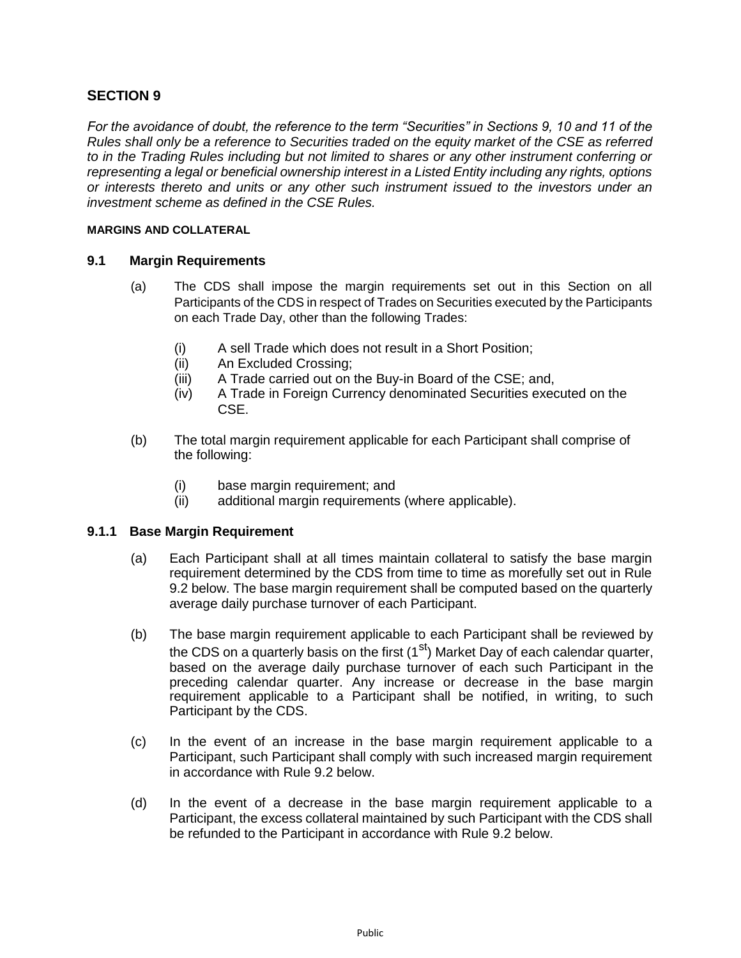# **SECTION 9**

*For the avoidance of doubt, the reference to the term "Securities" in Sections 9, 10 and 11 of the Rules shall only be a reference to Securities traded on the equity market of the CSE as referred to in the Trading Rules including but not limited to shares or any other instrument conferring or representing a legal or beneficial ownership interest in a Listed Entity including any rights, options or interests thereto and units or any other such instrument issued to the investors under an investment scheme as defined in the CSE Rules.*

#### **MARGINS AND COLLATERAL**

### **9.1 Margin Requirements**

- (a) The CDS shall impose the margin requirements set out in this Section on all Participants of the CDS in respect of Trades on Securities executed by the Participants on each Trade Day, other than the following Trades:
	- (i) A sell Trade which does not result in a Short Position;
	- (ii) An Excluded Crossing;
	- (iii) A Trade carried out on the Buy-in Board of the CSE; and,
	- (iv) A Trade in Foreign Currency denominated Securities executed on the CSE.
- (b) The total margin requirement applicable for each Participant shall comprise of the following:
	- (i) base margin requirement; and
	- (ii) additional margin requirements (where applicable).

### **9.1.1 Base Margin Requirement**

- (a) Each Participant shall at all times maintain collateral to satisfy the base margin requirement determined by the CDS from time to time as morefully set out in Rule 9.2 below. The base margin requirement shall be computed based on the quarterly average daily purchase turnover of each Participant.
- (b) The base margin requirement applicable to each Participant shall be reviewed by the CDS on a quarterly basis on the first  $(1<sup>st</sup>)$  Market Day of each calendar quarter, based on the average daily purchase turnover of each such Participant in the preceding calendar quarter. Any increase or decrease in the base margin requirement applicable to a Participant shall be notified, in writing, to such Participant by the CDS.
- (c) In the event of an increase in the base margin requirement applicable to a Participant, such Participant shall comply with such increased margin requirement in accordance with Rule 9.2 below.
- (d) In the event of a decrease in the base margin requirement applicable to a Participant, the excess collateral maintained by such Participant with the CDS shall be refunded to the Participant in accordance with Rule 9.2 below.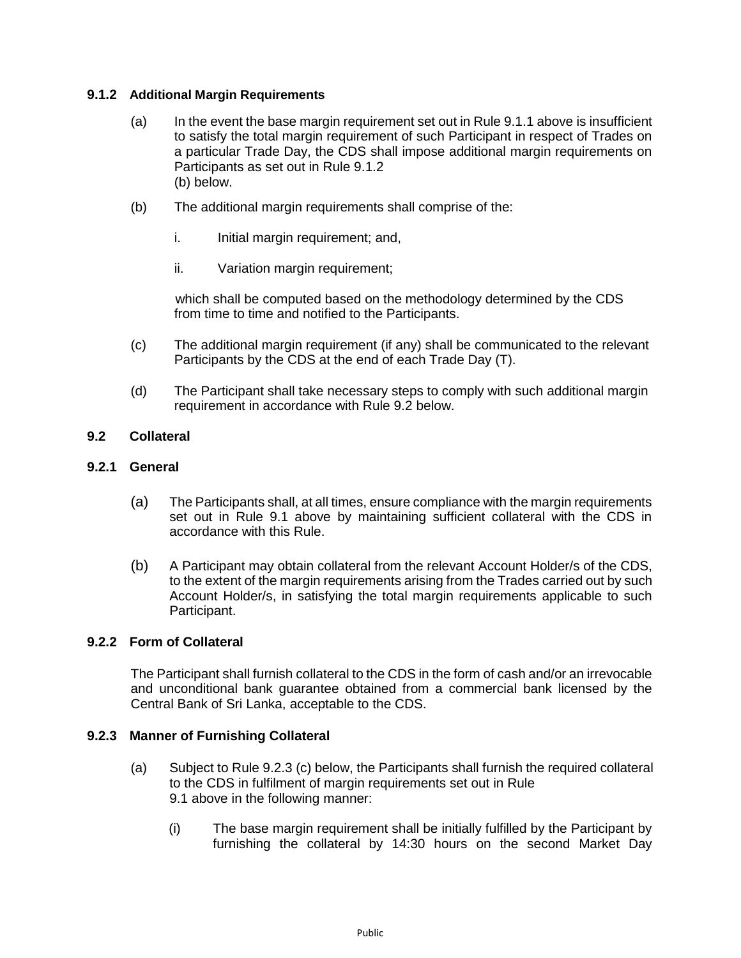## **9.1.2 Additional Margin Requirements**

- (a) In the event the base margin requirement set out in Rule 9.1.1 above is insufficient to satisfy the total margin requirement of such Participant in respect of Trades on a particular Trade Day, the CDS shall impose additional margin requirements on Participants as set out in Rule 9.1.2 (b) below.
- (b) The additional margin requirements shall comprise of the:
	- i. Initial margin requirement; and,
	- ii. Variation margin requirement;

which shall be computed based on the methodology determined by the CDS from time to time and notified to the Participants.

- (c) The additional margin requirement (if any) shall be communicated to the relevant Participants by the CDS at the end of each Trade Day (T).
- (d) The Participant shall take necessary steps to comply with such additional margin requirement in accordance with Rule 9.2 below.

## **9.2 Collateral**

### **9.2.1 General**

- (a) The Participants shall, at all times, ensure compliance with the margin requirements set out in Rule 9.1 above by maintaining sufficient collateral with the CDS in accordance with this Rule.
- (b) A Participant may obtain collateral from the relevant Account Holder/s of the CDS, to the extent of the margin requirements arising from the Trades carried out by such Account Holder/s, in satisfying the total margin requirements applicable to such Participant.

### **9.2.2 Form of Collateral**

The Participant shall furnish collateral to the CDS in the form of cash and/or an irrevocable and unconditional bank guarantee obtained from a commercial bank licensed by the Central Bank of Sri Lanka, acceptable to the CDS.

### **9.2.3 Manner of Furnishing Collateral**

- (a) Subject to Rule 9.2.3 (c) below, the Participants shall furnish the required collateral to the CDS in fulfilment of margin requirements set out in Rule 9.1 above in the following manner:
	- (i) The base margin requirement shall be initially fulfilled by the Participant by furnishing the collateral by 14:30 hours on the second Market Day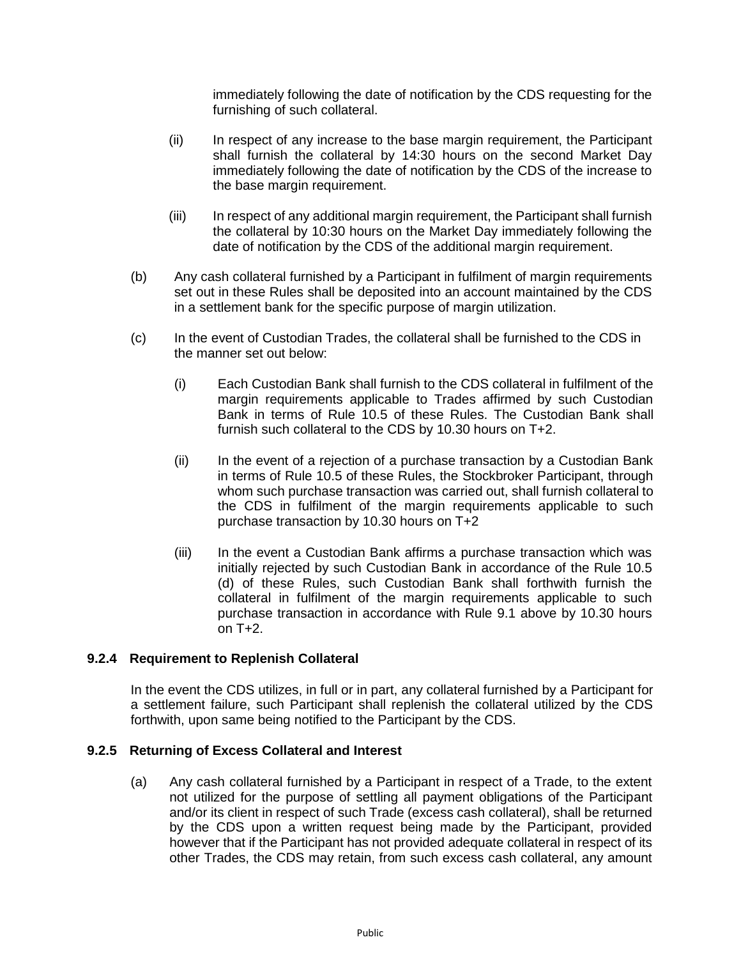immediately following the date of notification by the CDS requesting for the furnishing of such collateral.

- (ii) In respect of any increase to the base margin requirement, the Participant shall furnish the collateral by 14:30 hours on the second Market Day immediately following the date of notification by the CDS of the increase to the base margin requirement.
- (iii) In respect of any additional margin requirement, the Participant shall furnish the collateral by 10:30 hours on the Market Day immediately following the date of notification by the CDS of the additional margin requirement.
- (b) Any cash collateral furnished by a Participant in fulfilment of margin requirements set out in these Rules shall be deposited into an account maintained by the CDS in a settlement bank for the specific purpose of margin utilization.
- (c) In the event of Custodian Trades, the collateral shall be furnished to the CDS in the manner set out below:
	- (i) Each Custodian Bank shall furnish to the CDS collateral in fulfilment of the margin requirements applicable to Trades affirmed by such Custodian Bank in terms of Rule 10.5 of these Rules. The Custodian Bank shall furnish such collateral to the CDS by 10.30 hours on T+2.
	- (ii) In the event of a rejection of a purchase transaction by a Custodian Bank in terms of Rule 10.5 of these Rules, the Stockbroker Participant, through whom such purchase transaction was carried out, shall furnish collateral to the CDS in fulfilment of the margin requirements applicable to such purchase transaction by 10.30 hours on T+2
	- (iii) In the event a Custodian Bank affirms a purchase transaction which was initially rejected by such Custodian Bank in accordance of the Rule 10.5 (d) of these Rules, such Custodian Bank shall forthwith furnish the collateral in fulfilment of the margin requirements applicable to such purchase transaction in accordance with Rule 9.1 above by 10.30 hours on T+2.

## **9.2.4 Requirement to Replenish Collateral**

In the event the CDS utilizes, in full or in part, any collateral furnished by a Participant for a settlement failure, such Participant shall replenish the collateral utilized by the CDS forthwith, upon same being notified to the Participant by the CDS.

### **9.2.5 Returning of Excess Collateral and Interest**

(a) Any cash collateral furnished by a Participant in respect of a Trade, to the extent not utilized for the purpose of settling all payment obligations of the Participant and/or its client in respect of such Trade (excess cash collateral), shall be returned by the CDS upon a written request being made by the Participant, provided however that if the Participant has not provided adequate collateral in respect of its other Trades, the CDS may retain, from such excess cash collateral, any amount